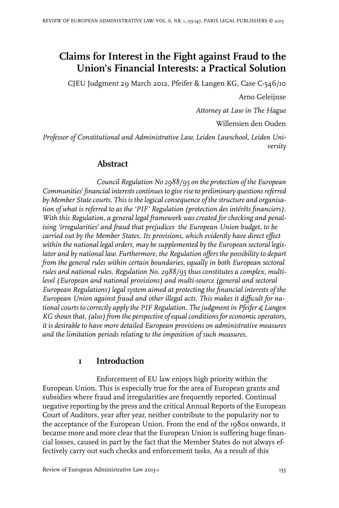# **Claims for Interest in the Fight against Fraud to the Union's Financial Interests: a Practical Solution**

CJEU Judgment 29 March 2012, Pfeifer & Langen KG, Case C-546/10

Arno Geleijnse

*Attorney at Law in The Hague*

Willemien den Ouden

*Professor of Constitutional and Administrative Law, Leiden Lawschool, Leiden University*

#### **Abstract**

*Council Regulation No 2988/95 on the protection of the European Communities' financial interestscontinues to giveriseto preliminary questions referred by Member State courts. This is the logical consequence of the structure and organisation of what is referred to as the 'PIF' Regulation (protection des intérêts financiers). With this Regulation, a general legal framework was created for checking and penalising 'irregularities' and fraud that prejudices the European Union budget, to be carried out by the Member States. Its provisions, which evidently have direct effect within the national legal orders, may be supplemented by the European sectoral legislator and by national law. Furthermore, the Regulation offers the possibility to depart from the general rules within certain boundaries, equally in both European sectoral rules and national rules. Regulation No. 2988/95 thus constitutes a complex, multilevel (European and national provisions) and multi-source (general and sectoral European Regulations) legal system aimed at protecting the financial interests of the European Union against fraud and other illegal acts. This makes it difficult for national courts to correctly apply the PIF Regulation. The judgment in Pfeifer & Langen KG shows that, (also) from the perspective of equal conditions for economic operators, it is desirable to have more detailed European provisions on administrative measures and the limitation periods relating to the imposition of such measures.*

#### **1 Introduction**

Enforcement of EU law enjoys high priority within the European Union. This is especially true for the area of European grants and subsidies where fraud and irregularities are frequently reported. Continual negative reporting by the press and the critical Annual Reports of the European Court of Auditors, year after year, neither contribute to the popularity nor to the acceptance of the European Union. From the end of the 1980s onwards, it became more and more clear that the European Union is suffering huge financial losses, caused in part by the fact that the Member States do not always effectively carry out such checks and enforcement tasks. As a result of this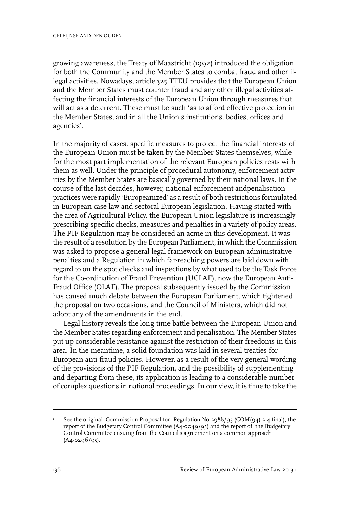growing awareness, the Treaty of Maastricht (1992) introduced the obligation for both the Community and the Member States to combat fraud and other illegal activities. Nowadays, article 325 TFEU provides that the European Union and the Member States must counter fraud and any other illegal activities affecting the financial interests of the European Union through measures that will act as a deterrent. These must be such 'as to afford effective protection in the Member States, and in all the Union's institutions, bodies, offices and agencies'.

In the majority of cases, specific measures to protect the financial interests of the European Union must be taken by the Member States themselves, while for the most part implementation of the relevant European policies rests with them as well. Under the principle of procedural autonomy, enforcement activities by the Member States are basically governed by their national laws. In the course of the last decades, however, national enforcement andpenalisation practices were rapidly 'Europeanized' as a result of both restrictions formulated in European case law and sectoral European legislation. Having started with the area of Agricultural Policy, the European Union legislature is increasingly prescribing specific checks, measures and penalties in a variety of policy areas. The PIF Regulation may be considered an acme in this development. It was the result of a resolution by the European Parliament, in which the Commission was asked to propose a general legal framework on European administrative penalties and a Regulation in which far-reaching powers are laid down with regard to on the spot checks and inspections by what used to be the Task Force for the Co-ordination of Fraud Prevention (UCLAF), now the European Anti-Fraud Office (OLAF). The proposal subsequently issued by the Commission has caused much debate between the European Parliament, which tightened the proposal on two occasions, and the Council of Ministers, which did not adopt any of the amendments in the end.<sup>1</sup>

Legal history reveals the long-time battle between the European Union and the Member States regarding enforcement and penalisation. The Member States put up considerable resistance against the restriction of their freedoms in this area. In the meantime, a solid foundation was laid in several treaties for European anti-fraud policies. However, as a result of the very general wording of the provisions of the PIF Regulation, and the possibility of supplementing and departing from these, its application is leading to a considerable number of complex questions in national proceedings. In our view, it is time to take the

See the original Commission Proposal for Regulation No 2988/95 (COM(94) 214 final), the report of the Budgetary Control Committee (A4-0049/95) and the report of the Budgetary 1 Control Committee ensuing from the Council's agreement on a common approach (A4-0296/95).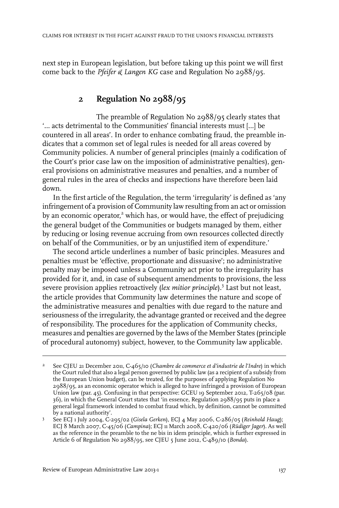next step in European legislation, but before taking up this point we will first come back to the *Pfeifer & Langen KG* case and Regulation No 2988/95.

#### **2 Regulation No 2988/95**

The preamble of Regulation No 2988/95 clearly states that '… acts detrimental to the Communities' financial interests must […] be countered in all areas'. In order to enhance combating fraud, the preamble indicates that a common set of legal rules is needed for all areas covered by Community policies. A number of general principles (mainly a codification of the Court's prior case law on the imposition of administrative penalties), general provisions on administrative measures and penalties, and a number of general rules in the area of checks and inspections have therefore been laid down.

In the first article of the Regulation, the term 'irregularity' is defined as 'any infringement of a provision of Community law resulting from an act or omission by an economic operator,<sup>2</sup> which has, or would have, the effect of prejudicing the general budget of the Communities or budgets managed by them, either by reducing or losing revenue accruing from own resources collected directly on behalf of the Communities, or by an unjustified item of expenditure.'

The second article underlines a number of basic principles. Measures and penalties must be 'effective, proportionate and dissuasive'; no administrative penalty may be imposed unless a Community act prior to the irregularity has provided for it, and, in case of subsequent amendments to provisions, the less severe provision applies retroactively (*lex mitior principle*).<sup>3</sup> Last but not least, the article provides that Community law determines the nature and scope of the administrative measures and penalties with due regard to the nature and seriousness of the irregularity, the advantage granted or received and the degree of responsibility. The procedures for the application of Community checks, measures and penalties are governed by the laws of the Member States (principle of procedural autonomy) subject, however, to the Community law applicable.

See CJEU 21 December 2011, C-465/10 (*Chambre de commerce et d'industrie de l'Indre*) in which the Court ruled that also a legal person governed by public law (as a recipient of a subsidy from 2 the European Union budget), can be treated, for the purposes of applying Regulation No 2988/95, as an economic operator which is alleged to have infringed a provision of European Union law (par. 45). Confusing in that perspective: GCEU 19 September 2012, T-265/08 (par. 36), in which the General Court states that 'in essence, Regulation 2988/95 puts in place a general legal framework intended to combat fraud which, by definition, cannot be committed by a national authority'.

See ECJ 1 July 2004, C-295/02 (*Gisela Gerken*), ECJ 4 May 2006, C-286/05 (*Reinhold Haug*); 3 ECJ 8 March 2007, C-45/06 (*Campina*); ECJ 11 March 2008, C-420/06 (*Rüdiger Jager*). As well as the reference in the preamble to the ne bis in idem principle, which is further expressed in Article 6 of Regulation No 2988/95, see CJEU 5 June 2012, C-489/10 (*Bonda*).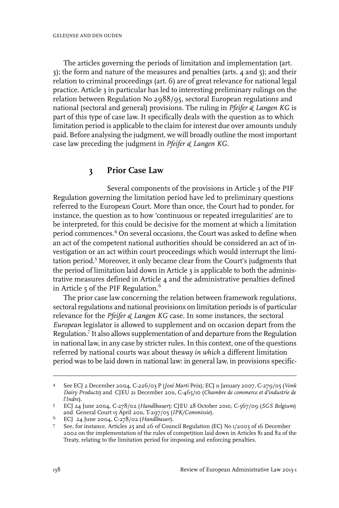The articles governing the periods of limitation and implementation (art. 3); the form and nature of the measures and penalties (arts. 4 and 5); and their relation to criminal proceedings (art. 6) are of great relevance for national legal practice. Article 3 in particular has led to interesting preliminary rulings on the relation between Regulation No 2988/95, sectoral European regulations and national (sectoral and general) provisions. The ruling in *Pfeifer & Langen KG* is part of this type of case law. It specifically deals with the question as to which limitation period is applicable to the claim for interest due over amounts unduly paid. Before analysing the judgment, we will broadly outline the most important case law preceding the judgment in *Pfeifer & Langen KG*.

#### **3 Prior Case Law**

Several components of the provisions in Article 3 of the PIF Regulation governing the limitation period have led to preliminary questions referred to the European Court. More than once, the Court had to ponder, for instance, the question as to how 'continuous or repeated irregularities' are to be interpreted, for this could be decisive for the moment at which a limitation period commences.<sup>4</sup> On several occasions, the Court was asked to define when an act of the competent national authorities should be considered an act of investigation or an act within court proceedings which would interrupt the limitation period.<sup>5</sup> Moreover, it only became clear from the Court's judgments that the period of limitation laid down in Article 3 is applicable to both the administrative measures defined in Article 4 and the administrative penalties defined in Article  $5$  of the PIF Regulation.<sup>6</sup>

The prior case law concerning the relation between framework regulations, sectoral regulations and national provisions on limitation periods is of particular relevance for the *Pfeifer & Langen KG* case. In some instances, the sectoral *European* legislator is allowed to supplement and on occasion depart from the Regulation.<sup>7</sup> It also allows supplementation of and departure from the Regulation in national law, in any case by stricter rules. In this context, one of the questions referred by national courts was about the*way in which* a different limitation period was to be laid down in national law: in general law, in provisions specific-

See ECJ 2 December 2004, C-226/03 P (*José Marti* Peix); ECJ 11 January 2007, C-279/05 (*Vonk Dairy Products*) and CJEU 21 December 2011, C-465/10 (*Chambre de commerce et d'industrie de l'Indre*). 4

ECJ 24 June 2004, C-278/02 (*Handlbauer*); CJEU 28 October 2010, C-367/09 (*SGS Belgium*) 5 and General Court 15 April 2011, T-297/05 (*IPK/Commissie*).

ECJ 24 June 2004, C-278/02 (*Handlbauer*). <sup>6</sup>

See, for instance, Articles 25 and 26 of Council Regulation (EC) No 1/2003 of 16 December 2002 on the implementation of the rules of competition laid down in Articles 81 and 82 of the Treaty, relating to the limitation period for imposing and enforcing penalties. 7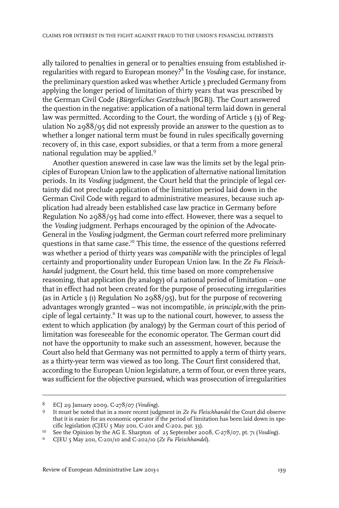ally tailored to penalties in general or to penalties ensuing from established irregularities with regard to European money?<sup>8</sup> In the *Vosding* case, for instance, the preliminary question asked was whether Article 3 precluded Germany from applying the longer period of limitation of thirty years that was prescribed by the German Civil Code (*Bürgerliches Gesetzbuch* [BGB]). The Court answered the question in the negative: application of a national term laid down in general law was permitted. According to the Court, the wording of Article 3 (3) of Regulation No 2988/95 did not expressly provide an answer to the question as to whether a longer national term must be found in rules specifically governing recovery of, in this case, export subsidies, or that a term from a more general national regulation may be applied.<sup>9</sup>

Another question answered in case law was the limits set by the legal principles of European Union law to the application of alternative national limitation periods. In its *Vosding* judgment, the Court held that the principle of legal certainty did not preclude application of the limitation period laid down in the German Civil Code with regard to administrative measures, because such application had already been established case law practice in Germany before Regulation No 2988/95 had come into effect. However, there was a sequel to the *Vosding* judgment. Perhaps encouraged by the opinion of the Advocate-General in the *Vosding* judgment, the German court referred more preliminary questions in that same case.<sup>10</sup> This time, the essence of the questions referred was whether a period of thirty years was *compatible* with the principles of legal certainty and proportionality under European Union law. In the *Ze Fu Fleischhandel* judgment, the Court held, this time based on more comprehensive reasoning, that application (by analogy) of a national period of limitation – one that in effect had not been created for the purpose of prosecuting irregularities (as in Article 3 (1) Regulation No 2988/95), but for the purpose of recovering advantages wrongly granted – was not incompatible, *in principle*,with the principle of legal certainty.<sup>11</sup> It was up to the national court, however, to assess the extent to which application (by analogy) by the German court of this period of limitation was foreseeable for the economic operator. The German court did not have the opportunity to make such an assessment, however, because the Court also held that Germany was not permitted to apply a term of thirty years, as a thirty-year term was viewed as too long. The Court first considered that, according to the European Union legislature, a term of four, or even three years, was sufficient for the objective pursued, which was prosecution of irregularities

ECJ 29 January 2009, C-278/07 (*Vosding*). <sup>8</sup>

It must be noted that in a more recent judgment in *Ze Fu Fleischhandel* the Court did observe 9 that it is easier for an economic operator if the period of limitation has been laid down in specific legislation (CJEU 5 May 2011, C-201 and C-202, par. 33).

<sup>&</sup>lt;sup>10</sup> See the Opinion by the AG E. Sharpton of 25 September 2008, C-278/07, pt. 71 (*Vosding*).

<sup>&</sup>lt;sup>11</sup> CJEU 5 May 2011, C-201/10 and C-202/10 (*Ze Fu Fleischhandel*).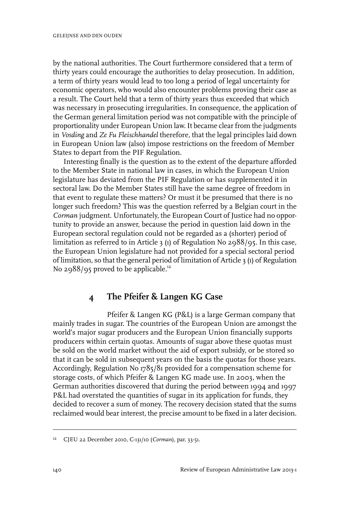by the national authorities. The Court furthermore considered that a term of thirty years could encourage the authorities to delay prosecution. In addition, a term of thirty years would lead to too long a period of legal uncertainty for economic operators, who would also encounter problems proving their case as a result. The Court held that a term of thirty years thus exceeded that which was necessary in prosecuting irregularities. In consequence, the application of the German general limitation period was not compatible with the principle of proportionality under European Union law. It became clearfrom the judgments in *Vosding* and *Ze Fu Fleischhandel* therefore, that the legal principles laid down in European Union law (also) impose restrictions on the freedom of Member States to depart from the PIF Regulation.

Interesting finally is the question as to the extent of the departure afforded to the Member State in national law in cases, in which the European Union legislature has deviated from the PIF Regulation or has supplemented it in sectoral law. Do the Member States still have the same degree of freedom in that event to regulate these matters? Or must it be presumed that there is no longer such freedom? This was the question referred by a Belgian court in the *Corman* judgment. Unfortunately, the European Court of Justice had no opportunity to provide an answer, because the period in question laid down in the European sectoral regulation could not be regarded as a (shorter) period of limitation as referred to in Article 3 (1) of Regulation No 2988/95. In this case, the European Union legislature had not provided for a special sectoral period of limitation, so that the general period of limitation of Article 3 (1) of Regulation No 2988/95 proved to be applicable.<sup>12</sup>

#### **4 The Pfeifer & Langen KG Case**

Pfeifer & Langen KG (P&L) is a large German company that mainly trades in sugar. The countries of the European Union are amongst the world's major sugar producers and the European Union financially supports producers within certain quotas. Amounts of sugar above these quotas must be sold on the world market without the aid of export subsidy, or be stored so that it can be sold in subsequent years on the basis the quotas for those years. Accordingly, Regulation No 1785/81 provided for a compensation scheme for storage costs, of which Pfeifer & Langen KG made use. In 2003, when the German authorities discovered that during the period between 1994 and 1997 P&L had overstated the quantities of sugar in its application for funds, they decided to recover a sum of money. The recovery decision stated that the sums reclaimed would bear interest, the precise amount to be fixed in a later decision.

<sup>&</sup>lt;sup>12</sup> CJEU 22 December 2010, C-131/10 (*Corman*), par. 33-51.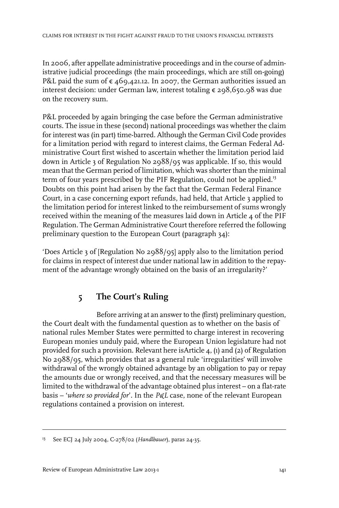In 2006, after appellate administrative proceedings and in the course of administrative judicial proceedings (the main proceedings, which are still on-going) P&L paid the sum of  $\epsilon$  469,421.12. In 2007, the German authorities issued an interest decision: under German law, interest totaling € 298,650.98 was due on the recovery sum.

P&L proceeded by again bringing the case before the German administrative courts. The issue in these (second) national proceedings was whether the claim for interest was (in part) time-barred. Although the German Civil Code provides for a limitation period with regard to interest claims, the German Federal Administrative Court first wished to ascertain whether the limitation period laid down in Article 3 of Regulation No 2988/95 was applicable. If so, this would mean that the German period of limitation, which was shorter than the minimal term of four years prescribed by the PIF Regulation, could not be applied.<sup>13</sup> Doubts on this point had arisen by the fact that the German Federal Finance Court, in a case concerning export refunds, had held, that Article 3 applied to the limitation period for interest linked to the reimbursement of sums wrongly received within the meaning of the measures laid down in Article 4 of the PIF Regulation. The German Administrative Court therefore referred the following preliminary question to the European Court (paragraph 34):

'Does Article 3 of [Regulation No 2988/95] apply also to the limitation period for claims in respect of interest due under national law in addition to the repayment of the advantage wrongly obtained on the basis of an irregularity?'

## **5 The Court's Ruling**

Before arriving at an answer to the (first) preliminary question, the Court dealt with the fundamental question as to whether on the basis of national rules Member States were permitted to charge interest in recovering European monies unduly paid, where the European Union legislature had not provided for such a provision. Relevant here isArticle 4, (1) and (2) of Regulation No 2988/95, which provides that as a general rule 'irregularities' will involve withdrawal of the wrongly obtained advantage by an obligation to pay or repay the amounts due or wrongly received, and that the necessary measures will be limited to the withdrawal of the advantage obtained plus interest – on a flat-rate basis – '*where so provided for*'*.* In the *P&L* case, none of the relevant European regulations contained a provision on interest.

<sup>&</sup>lt;sup>13</sup> See ECJ 24 July 2004, C-278/02 (*Handlbauer*), paras 24-35.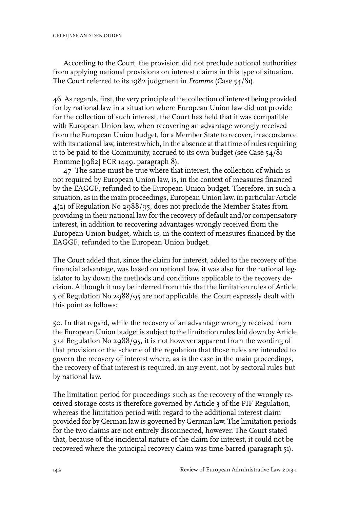According to the Court, the provision did not preclude national authorities from applying national provisions on interest claims in this type of situation. The Court referred to its 1982 judgment in *Fromme* (Case 54/81).

46 As regards, first, the very principle of the collection of interest being provided for by national law in a situation where European Union law did not provide for the collection of such interest, the Court has held that it was compatible with European Union law, when recovering an advantage wrongly received from the European Union budget, for a Member State to recover, in accordance with its national law, interest which, in the absence at that time ofrules requiring it to be paid to the Community, accrued to its own budget (see Case 54/81 Fromme [1982] ECR 1449, paragraph 8).

47 The same must be true where that interest, the collection of which is not required by European Union law, is, in the context of measures financed by the EAGGF, refunded to the European Union budget. Therefore, in such a situation, as in the main proceedings, European Union law, in particular Article 4(2) of Regulation No 2988/95, does not preclude the Member States from providing in their national law for the recovery of default and/or compensatory interest, in addition to recovering advantages wrongly received from the European Union budget, which is, in the context of measures financed by the EAGGF, refunded to the European Union budget.

The Court added that, since the claim for interest, added to the recovery of the financial advantage, was based on national law, it was also for the national legislator to lay down the methods and conditions applicable to the recovery decision. Although it may be inferred from this that the limitation rules of Article 3 of Regulation No 2988/95 are not applicable, the Court expressly dealt with this point as follows:

50. In that regard, while the recovery of an advantage wrongly received from the European Union budget is subject to the limitation rules laid down by Article 3 of Regulation No 2988/95, it is not however apparent from the wording of that provision or the scheme of the regulation that those rules are intended to govern the recovery of interest where, as is the case in the main proceedings, the recovery of that interest is required, in any event, not by sectoral rules but by national law.

The limitation period for proceedings such as the recovery of the wrongly received storage costs is therefore governed by Article 3 of the PIF Regulation, whereas the limitation period with regard to the additional interest claim provided for by German law is governed by German law. The limitation periods for the two claims are not entirely disconnected, however. The Court stated that, because of the incidental nature of the claim for interest, it could not be recovered where the principal recovery claim was time-barred (paragraph 51).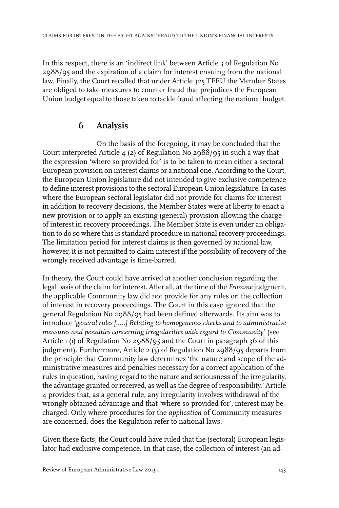In this respect, there is an 'indirect link' between Article 3 of Regulation No 2988/95 and the expiration of a claim for interest ensuing from the national law. Finally, the Court recalled that under Article 325 TFEU the Member States are obliged to take measures to counter fraud that prejudices the European Union budget equal to those taken to tackle fraud affecting the national budget.

## **6 Analysis**

On the basis of the foregoing, it may be concluded that the Court interpreted Article 4 (2) of Regulation No 2988/95 in such a way that the expression 'where so provided for' is to be taken to mean either a sectoral European provision on interest claims or a national one. According to the Court, the European Union legislature did not intended to give exclusive competence to define interest provisions to the sectoral European Union legislature. In cases where the European sectoral legislator did not provide for claims for interest in addition to recovery decisions, the Member States were at liberty to enact a new provision or to apply an existing (general) provision allowing the charge of interest in recovery proceedings. The Member State is even under an obligation to do so where this is standard procedure in national recovery proceedings. The limitation period for interest claims is then governed by national law, however, it is not permitted to claim interest if the possibility of recovery of the wrongly received advantage is time-barred.

In theory, the Court could have arrived at another conclusion regarding the legal basis of the claim for interest. After all, at the time of the *Fromme* judgment, the applicable Community law did not provide for any rules on the collection of interest in recovery proceedings. The Court in this case ignored that the general Regulation No 2988/95 had been defined afterwards. Its aim was to introduce '*general rules […..] Relating to homogeneous checks and to administrative measures and penalties concerning irregularities with regard to Community*' (see Article 1 (1) of Regulation No 2988/95 and the Court in paragraph 36 of this judgment). Furthermore, Article 2 (3) of Regulation No 2988/95 departs from the principle that Community law determines 'the nature and scope of the administrative measures and penalties necessary for a correct application of the rules in question, having regard to the nature and seriousness of the irregularity, the advantage granted or received, as well as the degree of responsibility.' Article 4 provides that, as a general rule, any irregularity involves withdrawal of the wrongly obtained advantage and that 'where so provided for', interest may be charged. Only where procedures for the *application* of Community measures are concerned, does the Regulation refer to national laws.

Given these facts, the Court could have ruled that the (sectoral) European legislator had exclusive competence. In that case, the collection of interest (an ad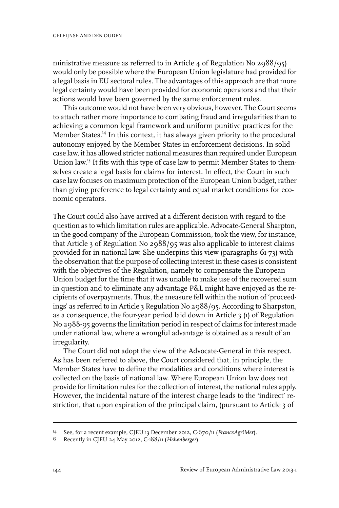ministrative measure as referred to in Article 4 of Regulation No 2988/95) would only be possible where the European Union legislature had provided for a legal basis in EU sectoral rules. The advantages of this approach are that more legal certainty would have been provided for economic operators and that their actions would have been governed by the same enforcement rules.

This outcome would not have been very obvious, however. The Court seems to attach rather more importance to combating fraud and irregularities than to achieving a common legal framework and uniform punitive practices for the Member States.<sup>14</sup> In this context, it has always given priority to the procedural autonomy enjoyed by the Member States in enforcement decisions. In solid case law, it has allowed stricter national measures than required under European Union law.<sup>15</sup> It fits with this type of case law to permit Member States to themselves create a legal basis for claims for interest. In effect, the Court in such case law focuses on maximum protection of the European Union budget, rather than giving preference to legal certainty and equal market conditions for economic operators.

The Court could also have arrived at a different decision with regard to the question as to which limitation rules are applicable. Advocate-General Sharpton, in the good company of the European Commission, took the view, for instance, that Article 3 of Regulation No 2988/95 was also applicable to interest claims provided for in national law. She underpins this view (paragraphs 61-73) with the observation that the purpose of collecting interest in these cases is consistent with the objectives of the Regulation, namely to compensate the European Union budget for the time that it was unable to make use of the recovered sum in question and to eliminate any advantage P&L might have enjoyed as the recipients of overpayments. Thus, the measure fell within the notion of 'proceedings' as referred to in Article 3 Regulation No 2988/95. According to Sharpston, as a consequence, the four-year period laid down in Article 3 (1) of Regulation No 2988-95 governs the limitation period in respect of claims forinterest made under national law, where a wrongful advantage is obtained as a result of an irregularity.

The Court did not adopt the view of the Advocate-General in this respect. As has been referred to above, the Court considered that, in principle, the Member States have to define the modalities and conditions where interest is collected on the basis of national law. Where European Union law does not provide for limitation rules for the collection of interest, the national rules apply. However, the incidental nature of the interest charge leads to the 'indirect' restriction, that upon expiration of the principal claim, (pursuant to Article 3 of

See, for a recent example, CJEU 13 December 2012, C-670/11 (*FranceAgriMer*). <sup>14</sup>

Recently in CJEU 24 May 2012, C-188/11 (*Hehenberger*). <sup>15</sup>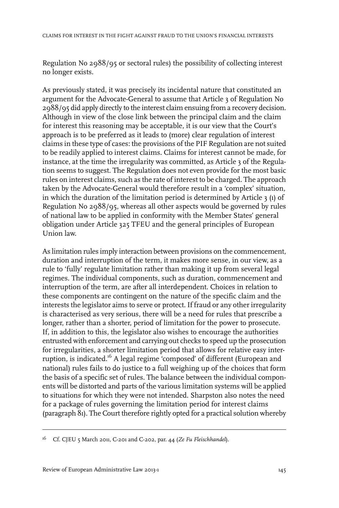Regulation No 2988/95 or sectoral rules) the possibility of collecting interest no longer exists.

As previously stated, it was precisely its incidental nature that constituted an argument for the Advocate-General to assume that Article 3 of Regulation No 2988/95 did apply directly to the interest claim ensuing from a recovery decision. Although in view of the close link between the principal claim and the claim for interest this reasoning may be acceptable, it is our view that the Court's approach is to be preferred as it leads to (more) clear regulation of interest claims in these type of cases: the provisions of the PIF Regulation are not suited to be readily applied to interest claims. Claims for interest cannot be made, for instance, at the time the irregularity was committed, as Article 3 of the Regulation seems to suggest. The Regulation does not even provide for the most basic rules on interest claims, such as the rate of interest to be charged. The approach taken by the Advocate-General would therefore result in a 'complex' situation, in which the duration of the limitation period is determined by Article 3 (1) of Regulation No 2988/95, whereas all other aspects would be governed by rules of national law to be applied in conformity with the Member States' general obligation under Article 325 TFEU and the general principles of European Union law.

As limitation rules imply interaction between provisions on the commencement, duration and interruption of the term, it makes more sense, in our view, as a rule to 'fully' regulate limitation rather than making it up from several legal regimes. The individual components, such as duration, commencement and interruption of the term, are after all interdependent. Choices in relation to these components are contingent on the nature of the specific claim and the interests the legislator aims to serve or protect. If fraud or any other irregularity is characterised as very serious, there will be a need for rules that prescribe a longer, rather than a shorter, period of limitation for the power to prosecute. If, in addition to this, the legislator also wishes to encourage the authorities entrusted with enforcement and carrying out checks to speed up the prosecution for irregularities, a shorter limitation period that allows for relative easy interruption, is indicated.<sup>16</sup> A legal regime 'composed' of different (European and national) rules fails to do justice to a full weighing up of the choices that form the basis of a specific set of rules. The balance between the individual components will be distorted and parts of the various limitation systems will be applied to situations for which they were not intended. Sharpston also notes the need for a package of rules governing the limitation period for interest claims (paragraph 81). The Court therefore rightly opted for a practical solution whereby

Cf. CJEU 5 March 2011, C-201 and C-202, par. 44 (*Ze Fu Fleischhandel*). <sup>16</sup>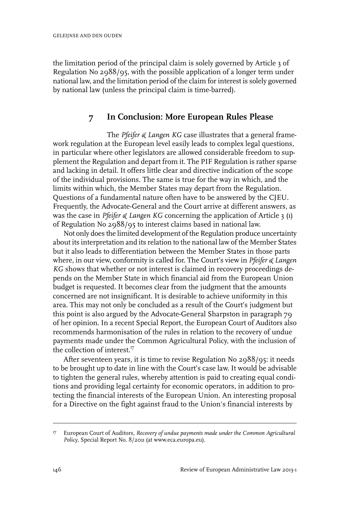the limitation period of the principal claim is solely governed by Article 3 of Regulation No 2988/95, with the possible application of a longer term under national law, and the limitation period of the claim for interest is solely governed by national law (unless the principal claim is time-barred).

### **7 In Conclusion: More European Rules Please**

The *Pfeifer & Langen KG* case illustrates that a general framework regulation at the European level easily leads to complex legal questions, in particular where other legislators are allowed considerable freedom to supplement the Regulation and depart from it. The PIF Regulation is rather sparse and lacking in detail. It offers little clear and directive indication of the scope of the individual provisions. The same is true for the way in which, and the limits within which, the Member States may depart from the Regulation. Questions of a fundamental nature often have to be answered by the CJEU. Frequently, the Advocate-General and the Court arrive at different answers, as was the case in *Pfeifer & Langen KG* concerning the application of Article 3 (1) of Regulation No 2988/95 to interest claims based in national law.

Not only does the limited development of the Regulation produce uncertainty about its interpretation and its relation to the national law of the Member States but it also leads to differentiation between the Member States in those parts where, in our view, conformity is called for. The Court's view in *Pfeifer & Langen KG* shows that whether or not interest is claimed in recovery proceedings depends on the Member State in which financial aid from the European Union budget is requested. It becomes clear from the judgment that the amounts concerned are not insignificant. It is desirable to achieve uniformity in this area. This may not only be concluded as a result of the Court's judgment but this point is also argued by the Advocate-General Sharpston in paragraph 79 of her opinion. In a recent Special Report, the European Court of Auditors also recommends harmonisation of the rules in relation to the recovery of undue payments made under the Common Agricultural Policy, with the inclusion of the collection of interest.<sup>17</sup>

After seventeen years, it is time to revise Regulation No 2988/95: it needs to be brought up to date in line with the Court's case law. It would be advisable to tighten the general rules, whereby attention is paid to creating equal conditions and providing legal certainty for economic operators, in addition to protecting the financial interests of the European Union. An interesting proposal for a Directive on the fight against fraud to the Union's financial interests by

European Court of Auditors, *Recovery of undue payments made under the Common Agricultural* 17 *Policy*, Special Report No. 8/2011 (at www.eca.europa.eu).